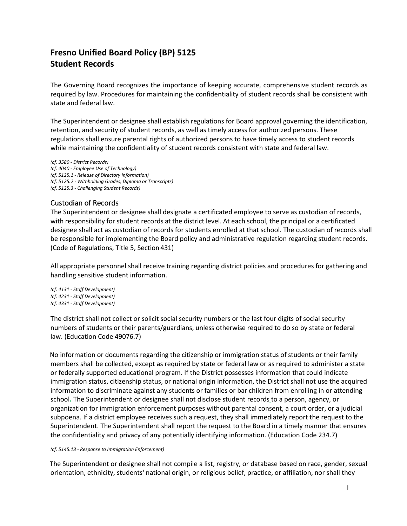## **Fresno Unified Board Policy (BP) 5125 Student Records**

The Governing Board recognizes the importance of keeping accurate, comprehensive student records as required by law. Procedures for maintaining the confidentiality of student records shall be consistent with state and federal law.

The Superintendent or designee shall establish regulations for Board approval governing the identification, retention, and security of student records, as well as timely access for authorized persons. These regulations shall ensure parental rights of authorized persons to have timely access to student records while maintaining the confidentiality of student records consistent with state and federal law.

*(cf. 3580 - District Records) (cf. 4040 - Employee Use of Technology) (cf. 5125.1 - Release of Directory Information) (cf. 5125.2 - Withholding Grades, Diploma or Transcripts) (cf. 5125.3 - Challenging Student Records)*

## Custodian of Records

The Superintendent or designee shall designate a certificated employee to serve as custodian of records, with responsibility for student records at the district level. At each school, the principal or a certificated designee shall act as custodian of records for students enrolled at that school. The custodian of records shall be responsible for implementing the Board policy and administrative regulation regarding student records. (Code of Regulations, Title 5, Section 431)

All appropriate personnel shall receive training regarding district policies and procedures for gathering and handling sensitive student information.

*(cf. 4131 - Staff Development) (cf. 4231 - Staff Development) (cf. 4331 - Staff Development)*

The district shall not collect or solicit social security numbers or the last four digits of social security numbers of students or their parents/guardians, unless otherwise required to do so by state or federal law. (Education Code 49076.7)

No information or documents regarding the citizenship or immigration status of students or their family members shall be collected, except as required by state or federal law or as required to administer a state or federally supported educational program. If the District possesses information that could indicate immigration status, citizenship status, or national origin information, the District shall not use the acquired information to discriminate against any students or families or bar children from enrolling in or attending school**.** The Superintendent or designee shall not disclose student records to a person, agency, or organization for immigration enforcement purposes without parental consent, a court order, or a judicial subpoena. If a district employee receives such a request, they shall immediately report the request to the Superintendent. The Superintendent shall report the request to the Board in a timely manner that ensures the confidentiality and privacy of any potentially identifying information. (Education Code 234.7)

*(cf. 5145.13 - Response to Immigration Enforcement)*

The Superintendent or designee shall not compile a list, registry, or database based on race, gender, sexual orientation, ethnicity, students' national origin, or religious belief, practice, or affiliation, nor shall they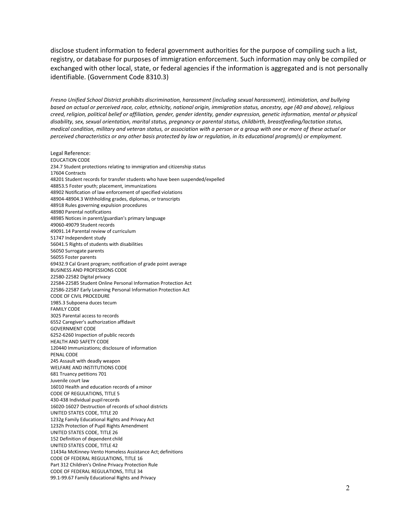disclose student information to federal government authorities for the purpose of compiling such a list, registry, or database for purposes of immigration enforcement. Such information may only be compiled or exchanged with other local, state, or federal agencies if the information is aggregated and is not personally identifiable. (Government Code 8310.3)

*Fresno Unified School District prohibits discrimination, harassment (including sexual harassment), intimidation, and bullying based on actual or perceived race, color, ethnicity, national origin, immigration status, ancestry, age (40 and above), religious creed, religion, political belief or affiliation, gender, gender identity, gender expression, genetic information, mental or physical disability, sex, sexual orientation, marital status, pregnancy or parental status, childbirth, breastfeeding/lactation status, medical condition, military and veteran status, or association with a person or a group with one or more of these actual or perceived characteristics or any other basis protected by law or regulation, in its educational program(s) or employment.*

Legal Reference: EDUCATION CODE 234.7 Student protections relating to immigration and citizenship status 17604 Contracts 48201 Student records for transfer students who have been suspended/expelled 48853.5 Foster youth; placement, immunizations 48902 Notification of law enforcement of specified violations 48904-48904.3 Withholding grades, diplomas, or transcripts 48918 Rules governing expulsion procedures 48980 Parental notifications 48985 Notices in parent/guardian's primary language 49060-49079 Student records 49091.14 Parental review of curriculum 51747 Independent study 56041.5 Rights of students with disabilities 56050 Surrogate parents 56055 Foster parents 69432.9 Cal Grant program; notification of grade point average BUSINESS AND PROFESSIONS CODE 22580-22582 Digital privacy 22584-22585 Student Online Personal Information Protection Act 22586-22587 Early Learning Personal Information Protection Act CODE OF CIVIL PROCEDURE 1985.3 Subpoena duces tecum FAMILY CODE 3025 Parental access to records 6552 Caregiver's authorization affidavit GOVERNMENT CODE 6252-6260 Inspection of public records HEALTH AND SAFETY CODE 120440 Immunizations; disclosure of information PENAL CODE 245 Assault with deadly weapon WELFARE AND INSTITUTIONS CODE 681 Truancy petitions 701 Juvenile court law 16010 Health and education records of aminor CODE OF REGULATIONS, TITLE 5 430-438 Individual pupilrecords 16020-16027 Destruction of records of school districts UNITED STATES CODE, TITLE 20 1232g Family Educational Rights and Privacy Act 1232h Protection of Pupil Rights Amendment UNITED STATES CODE, TITLE 26 152 Definition of dependent child UNITED STATES CODE, TITLE 42 11434a McKinney-Vento Homeless Assistance Act;definitions CODE OF FEDERAL REGULATIONS, TITLE 16 Part 312 Children's Online Privacy Protection Rule CODE OF FEDERAL REGULATIONS, TITLE 34 99.1-99.67 Family Educational Rights and Privacy